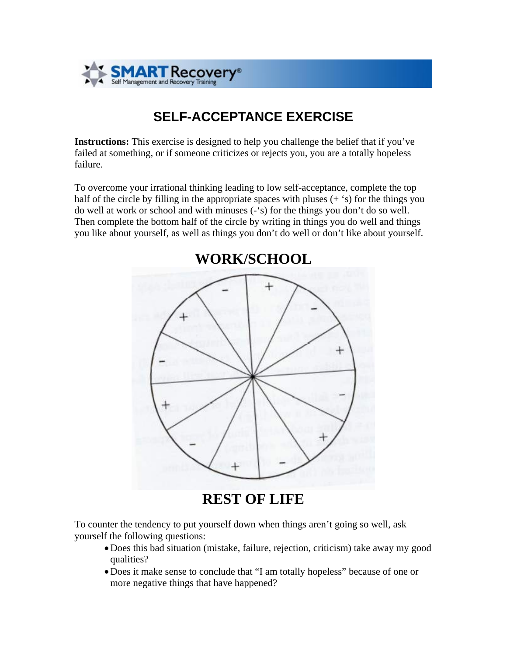

## **SELF-ACCEPTANCE EXERCISE**

**Instructions:** This exercise is designed to help you challenge the belief that if you've failed at something, or if someone criticizes or rejects you, you are a totally hopeless failure.

To overcome your irrational thinking leading to low self-acceptance, complete the top half of the circle by filling in the appropriate spaces with pluses  $(+$ s  $')$  for the things you do well at work or school and with minuses (-'s) for the things you don't do so well. Then complete the bottom half of the circle by writing in things you do well and things you like about yourself, as well as things you don't do well or don't like about yourself.



**REST OF LIFE**

To counter the tendency to put yourself down when things aren't going so well, ask yourself the following questions:

- •Does this bad situation (mistake, failure, rejection, criticism) take away my good qualities?
- •Does it make sense to conclude that "I am totally hopeless" because of one or more negative things that have happened?